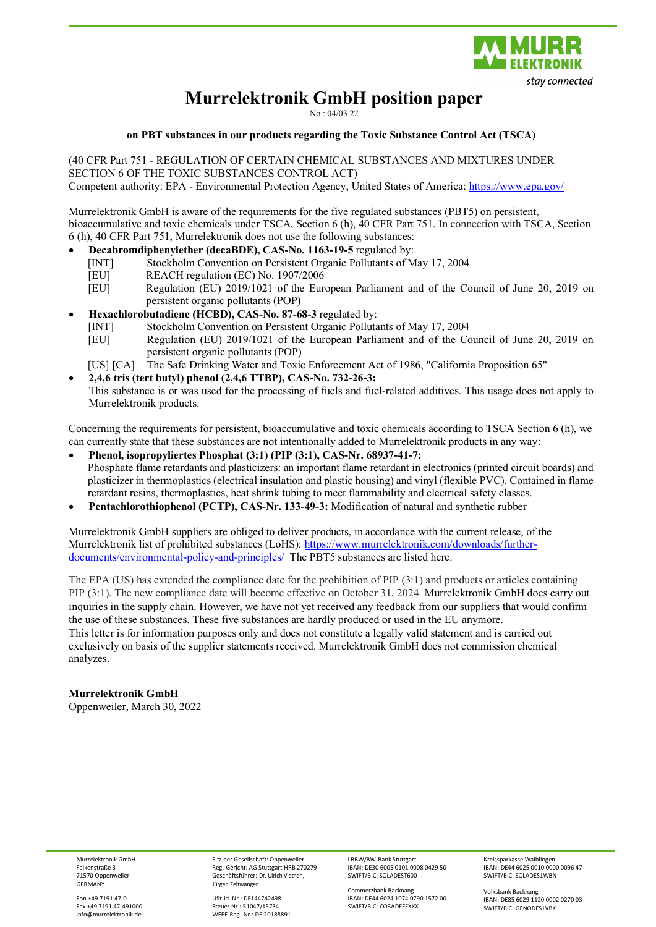

# **Murrelektronik GmbH position paper**

No.: 04/03.22

#### **on PBT substances in our products regarding the Toxic Substance Control Act (TSCA)**

(40 CFR Part 751 - REGULATION OF CERTAIN CHEMICAL SUBSTANCES AND MIXTURES UNDER SECTION 6 OF THE TOXIC SUBSTANCES CONTROL ACT) Competent authority: EPA - Environmental Protection Agency, United States of America: <https://www.epa.gov/>

Murrelektronik GmbH is aware of the requirements for the five regulated substances (PBT5) on persistent, bioaccumulative and toxic chemicals under TSCA, Section 6 (h), 40 CFR Part 751. In connection with TSCA, Section 6 (h), 40 CFR Part 751, Murrelektronik does not use the following substances:

- **Decabromdiphenylether (decaBDE), CAS-No. 1163-19-5** regulated by:
	- [INT] Stockholm Convention on Persistent Organic Pollutants of May 17, 2004
	- [EU] REACH regulation (EC) No. 1907/2006<br>
	[EU] Regulation (EU) 2019/1021 of the Eur
	- Regulation (EU) 2019/1021 of the European Parliament and of the Council of June 20, 2019 on persistent organic pollutants (POP)
- **Hexachlorobutadiene (HCBD), CAS-No. 87-68-3** regulated by:
	- [INT] Stockholm Convention on Persistent Organic Pollutants of May 17, 2004
	- [EU] Regulation (EU) 2019/1021 of the European Parliament and of the Council of June 20, 2019 on persistent organic pollutants (POP)
	- [US] [CA] The Safe Drinking Water and Toxic Enforcement Act of 1986, "California Proposition 65"
- **2,4,6 tris (tert butyl) phenol (2,4,6 TTBP), CAS-No. 732-26-3:**  This substance is or was used for the processing of fuels and fuel-related additives. This usage does not apply to Murrelektronik products.

Concerning the requirements for persistent, bioaccumulative and toxic chemicals according to TSCA Section 6 (h), we can currently state that these substances are not intentionally added to Murrelektronik products in any way:

- **Phenol, isopropyliertes Phosphat (3:1) (PIP (3:1), CAS-Nr. 68937-41-7:** Phosphate flame retardants and plasticizers: an important flame retardant in electronics (printed circuit boards) and plasticizer in thermoplastics (electrical insulation and plastic housing) and vinyl (flexible PVC). Contained in flame retardant resins, thermoplastics, heat shrink tubing to meet flammability and electrical safety classes.
- **Pentachlorothiophenol (PCTP), CAS-Nr. 133-49-3:** Modification of natural and synthetic rubber

Murrelektronik GmbH suppliers are obliged to deliver products, in accordance with the current release, of the Murrelektronik list of prohibited substances (LoHS): [https://www.murrelektronik.com/downloads/further](https://www.murrelektronik.com/downloads/further-documents/environmental-policy-and-principles/)[documents/environmental-policy-and-principles/](https://www.murrelektronik.com/downloads/further-documents/environmental-policy-and-principles/) The PBT5 substances are listed here.

The EPA (US) has extended the compliance date for the prohibition of PIP (3:1) and products or articles containing PIP (3:1). The new compliance date will become effective on October 31, 2024. Murrelektronik GmbH does carry out inquiries in the supply chain. However, we have not yet received any feedback from our suppliers that would confirm the use of these substances. These five substances are hardly produced or used in the EU anymore. This letter is for information purposes only and does not constitute a legally valid statement and is carried out exclusively on basis of the supplier statements received. Murrelektronik GmbH does not commission chemical analyzes.

### **Murrelektronik GmbH** Oppenweiler, March 30, 2022

Murrelektronik GmbH Falkenstraße 3 71570 Oppenweiler **GERMANY** 

Fon +49 7191 47-0 Fax +49 7191 47-491000 info@murrelektronik.de

Sitz der Gesellschaft: Oppenweiler Reg.-Gericht: AG Stuttgart HRB 270279 Geschäftsführer: Dr. Ulrich Viethen, Jürgen Zeltwanger

USt-Id. Nr.: DE144742498 Steuer Nr.: 51047/15734 WEEE-Reg.-Nr.: DE 20188891 LBBW/BW-Bank Stuttgart IBAN: DE30 6005 0101 0008 0429 50 SWIFT/BIC: SOLADEST600

Commerzbank Backnang IBAN: DE44 6024 1074 0790 1572 00 SWIFT/BIC: COBADEFFXXX

Kreissparkasse Waiblingen IBAN: DE44 6025 0010 0000 0096 47 SWIFT/BIC: SOLADES1WBN

Volksbank Backnang IBAN: DE85 6029 1120 0002 0270 03 SWIFT/BIC: GENODES1VBK